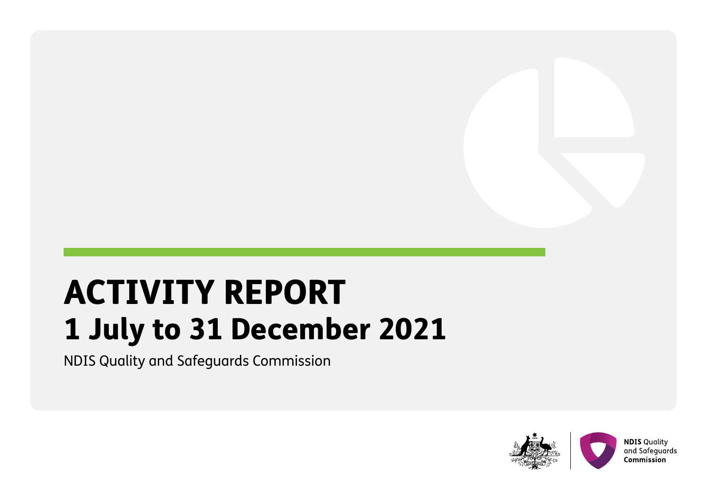# ACTIVITY REPORT 1 July to 31 December 2021

NDIS Quality and Safeguards Commission

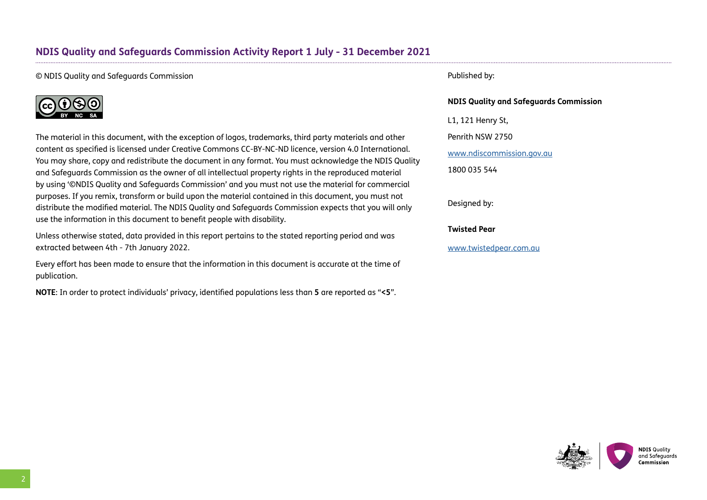# **NDIS Quality and Safeguards Commission Activity Report 1 July - 31 December 2021**

#### © NDIS Quality and Safeguards Commission



The material in this document, with the exception of logos, trademarks, third party materials and other content as specified is licensed under Creative Commons CC-BY-NC-ND licence, version 4.0 International. You may share, copy and redistribute the document in any format. You must acknowledge the NDIS Quality and Safeguards Commission as the owner of all intellectual property rights in the reproduced material by using '©NDIS Quality and Safeguards Commission' and you must not use the material for commercial purposes. If you remix, transform or build upon the material contained in this document, you must not distribute the modified material. The NDIS Quality and Safeguards Commission expects that you will only use the information in this document to benefit people with disability.

Unless otherwise stated, data provided in this report pertains to the stated reporting period and was extracted between 4th - 7th January 2022.

Every effort has been made to ensure that the information in this document is accurate at the time of publication.

**NOTE**: In order to protect individuals' privacy, identified populations less than **5** are reported as "**<5**".

#### Published by:

#### **NDIS Quality and Safeguards Commission**

L1, 121 Henry St,

Penrith NSW 2750

<www.ndiscommission.gov.au>

1800 035 544

Designed by:

**Twisted Pear**

[www.twistedpear.com.au](http://www.twistedpear.com.au)



2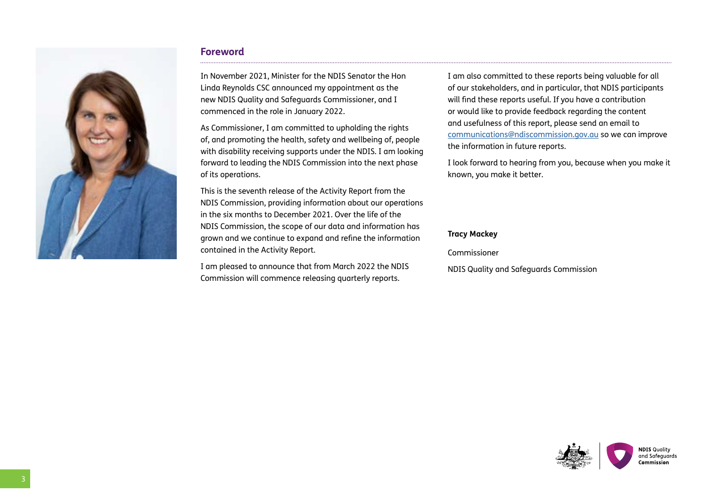

### **Foreword**

In November 2021, Minister for the NDIS Senator the Hon Linda Reynolds CSC announced my appointment as the new NDIS Quality and Safeguards Commissioner, and I commenced in the role in January 2022.

As Commissioner, I am committed to upholding the rights of, and promoting the health, safety and wellbeing of, people with disability receiving supports under the NDIS. I am looking forward to leading the NDIS Commission into the next phase of its operations.

This is the seventh release of the Activity Report from the NDIS Commission, providing information about our operations in the six months to December 2021. Over the life of the NDIS Commission, the scope of our data and information has grown and we continue to expand and refine the information contained in the Activity Report.

I am pleased to announce that from March 2022 the NDIS Commission will commence releasing quarterly reports.

I am also committed to these reports being valuable for all of our stakeholders, and in particular, that NDIS participants will find these reports useful. If you have a contribution or would like to provide feedback regarding the content and usefulness of this report, please send an email to communications[@ndiscommission.gov.au](mailto:communications%40ndiscommission.gov.au?subject=) so we can improve the information in future reports.

I look forward to hearing from you, because when you make it known, you make it better.

#### **Tracy Mackey**

Commissioner

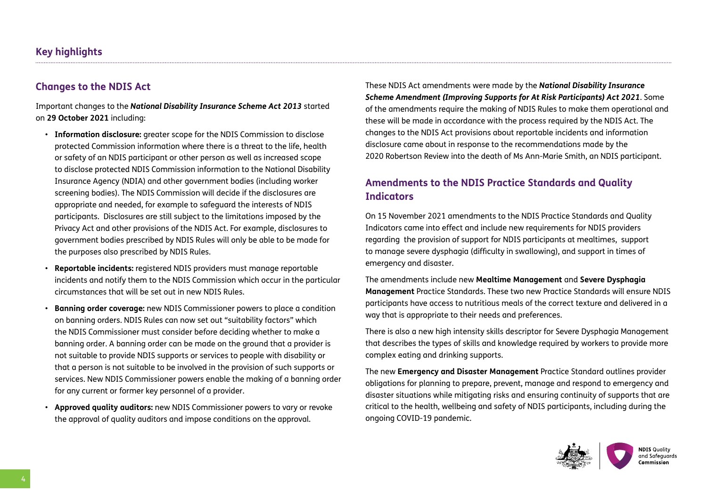# **Key highlights**

# **Changes to the NDIS Act**

Important changes to the *National Disability Insurance Scheme Act 2013* started on **29 October 2021** including:

- **Information disclosure:** greater scope for the NDIS Commission to disclose protected Commission information where there is a threat to the life, health or safety of an NDIS participant or other person as well as increased scope to disclose protected NDIS Commission information to the National Disability Insurance Agency (NDIA) and other government bodies (including worker screening bodies). The NDIS Commission will decide if the disclosures are appropriate and needed, for example to safeguard the interests of NDIS participants. Disclosures are still subject to the limitations imposed by the Privacy Act and other provisions of the NDIS Act. For example, disclosures to government bodies prescribed by NDIS Rules will only be able to be made for the purposes also prescribed by NDIS Rules.
- **Reportable incidents:** registered NDIS providers must manage reportable incidents and notify them to the NDIS Commission which occur in the particular circumstances that will be set out in new NDIS Rules.
- **Banning order coverage:** new NDIS Commissioner powers to place a condition on banning orders. NDIS Rules can now set out "suitability factors" which the NDIS Commissioner must consider before deciding whether to make a banning order. A banning order can be made on the ground that a provider is not suitable to provide NDIS supports or services to people with disability or that a person is not suitable to be involved in the provision of such supports or services. New NDIS Commissioner powers enable the making of a banning order for any current or former key personnel of a provider.
- **Approved quality auditors:** new NDIS Commissioner powers to vary or revoke the approval of quality auditors and impose conditions on the approval.

These NDIS Act amendments were made by the *National Disability Insurance Scheme Amendment (Improving Supports for At Risk Participants) Act 2021*. Some of the amendments require the making of NDIS Rules to make them operational and these will be made in accordance with the process required by the NDIS Act. The changes to the NDIS Act provisions about reportable incidents and information disclosure came about in response to the recommendations made by the 2020 Robertson Review into the death of Ms Ann-Marie Smith, an NDIS participant.

# **Amendments to the NDIS Practice Standards and Quality Indicators**

On 15 November 2021 amendments to the NDIS Practice Standards and Quality Indicators came into effect and include new requirements for NDIS providers regarding the provision of support for NDIS participants at mealtimes, support to manage severe dysphagia (difficulty in swallowing), and support in times of emergency and disaster.

The amendments include new **Mealtime Management** and **Severe Dysphagia Management** Practice Standards. These two new Practice Standards will ensure NDIS participants have access to nutritious meals of the correct texture and delivered in a way that is appropriate to their needs and preferences.

There is also a new high intensity skills descriptor for Severe Dysphagia Management that describes the types of skills and knowledge required by workers to provide more complex eating and drinking supports.

The new **Emergency and Disaster Management** Practice Standard outlines provider obligations for planning to prepare, prevent, manage and respond to emergency and disaster situations while mitigating risks and ensuring continuity of supports that are critical to the health, wellbeing and safety of NDIS participants, including during the ongoing COVID-19 pandemic.

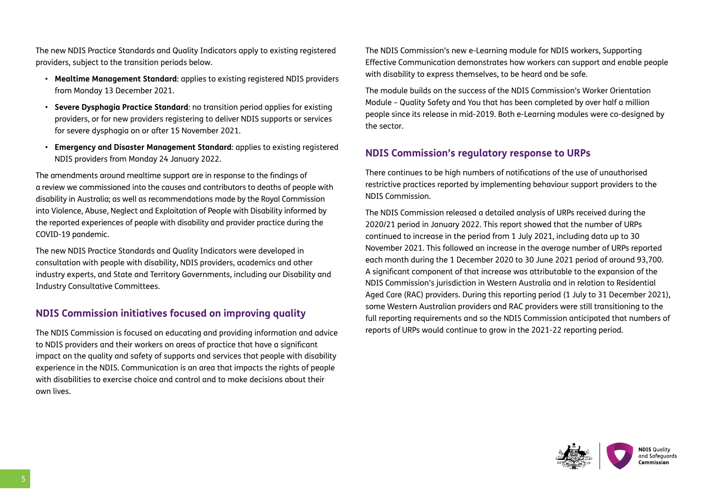The new NDIS Practice Standards and Quality Indicators apply to existing registered providers, subject to the transition periods below.

- **Mealtime Management Standard**: applies to existing registered NDIS providers from Monday 13 December 2021.
- **Severe Dysphagia Practice Standard**: no transition period applies for existing providers, or for new providers registering to deliver NDIS supports or services for severe dysphagia on or after 15 November 2021.
- **Emergency and Disaster Management Standard**: applies to existing registered NDIS providers from Monday 24 January 2022.

The amendments around mealtime support are in response to the findings of a review we commissioned into the causes and contributors to deaths of people with disability in Australia; as well as recommendations made by the Royal Commission into Violence, Abuse, Neglect and Exploitation of People with Disability informed by the reported experiences of people with disability and provider practice during the COVID-19 pandemic.

The new NDIS Practice Standards and Quality Indicators were developed in consultation with people with disability, NDIS providers, academics and other industry experts, and State and Territory Governments, including our Disability and Industry Consultative Committees.

# **NDIS Commission initiatives focused on improving quality**

The NDIS Commission is focused on educating and providing information and advice to NDIS providers and their workers on areas of practice that have a significant impact on the quality and safety of supports and services that people with disability experience in the NDIS. Communication is an area that impacts the rights of people with disabilities to exercise choice and control and to make decisions about their own lives.

The NDIS Commission's new e-Learning module for NDIS workers, Supporting Effective Communication demonstrates how workers can support and enable people with disability to express themselves, to be heard and be safe.

The module builds on the success of the NDIS Commission's Worker Orientation Module – Quality Safety and You that has been completed by over half a million people since its release in mid-2019. Both e-Learning modules were co-designed by the sector.

# **NDIS Commission's regulatory response to URPs**

There continues to be high numbers of notifications of the use of unauthorised restrictive practices reported by implementing behaviour support providers to the NDIS Commission.

The NDIS Commission released a detailed analysis of URPs received during the 2020/21 period in January 2022. This report showed that the number of URPs continued to increase in the period from 1 July 2021, including data up to 30 November 2021. This followed an increase in the average number of URPs reported each month during the 1 December 2020 to 30 June 2021 period of around 93,700. A significant component of that increase was attributable to the expansion of the NDIS Commission's jurisdiction in Western Australia and in relation to Residential Aged Care (RAC) providers. During this reporting period (1 July to 31 December 2021), some Western Australian providers and RAC providers were still transitioning to the full reporting requirements and so the NDIS Commission anticipated that numbers of reports of URPs would continue to grow in the 2021-22 reporting period.

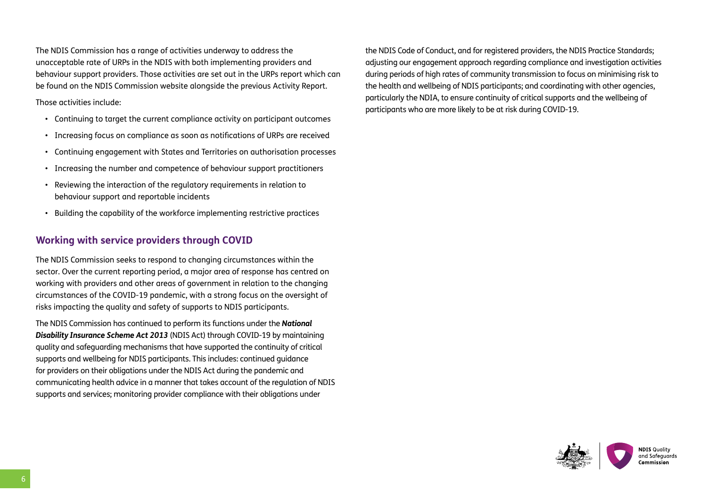The NDIS Commission has a range of activities underway to address the unacceptable rate of URPs in the NDIS with both implementing providers and behaviour support providers. Those activities are set out in the URPs report which can be found on the NDIS Commission website alongside the previous Activity Report.

Those activities include:

- Continuing to target the current compliance activity on participant outcomes
- Increasing focus on compliance as soon as notifications of URPs are received
- Continuing engagement with States and Territories on authorisation processes
- Increasing the number and competence of behaviour support practitioners
- Reviewing the interaction of the regulatory requirements in relation to behaviour support and reportable incidents
- Building the capability of the workforce implementing restrictive practices

# **Working with service providers through COVID**

The NDIS Commission seeks to respond to changing circumstances within the sector. Over the current reporting period, a major area of response has centred on working with providers and other areas of government in relation to the changing circumstances of the COVID-19 pandemic, with a strong focus on the oversight of risks impacting the quality and safety of supports to NDIS participants.

The NDIS Commission has continued to perform its functions under the *National Disability Insurance Scheme Act 2013* (NDIS Act) through COVID-19 by maintaining quality and safeguarding mechanisms that have supported the continuity of critical supports and wellbeing for NDIS participants. This includes: continued guidance for providers on their obligations under the NDIS Act during the pandemic and communicating health advice in a manner that takes account of the regulation of NDIS supports and services; monitoring provider compliance with their obligations under

the NDIS Code of Conduct, and for registered providers, the NDIS Practice Standards; adjusting our engagement approach regarding compliance and investigation activities during periods of high rates of community transmission to focus on minimising risk to the health and wellbeing of NDIS participants; and coordinating with other agencies, particularly the NDIA, to ensure continuity of critical supports and the wellbeing of participants who are more likely to be at risk during COVID-19.

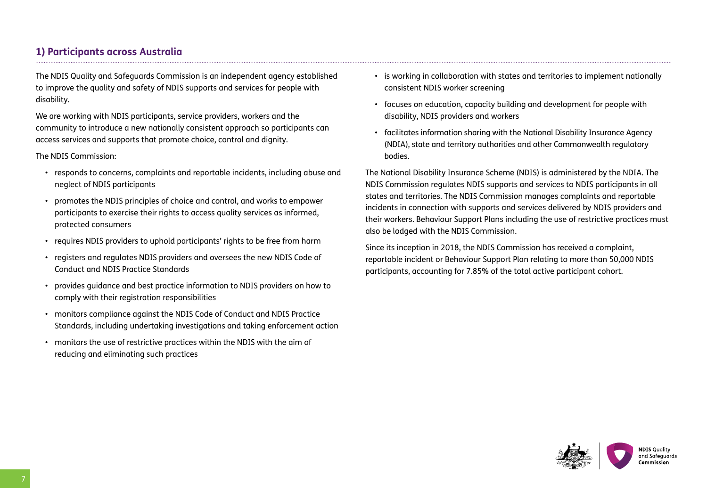# **1) Participants across Australia**

The NDIS Quality and Safeguards Commission is an independent agency established to improve the quality and safety of NDIS supports and services for people with disability.

We are working with NDIS participants, service providers, workers and the community to introduce a new nationally consistent approach so participants can access services and supports that promote choice, control and dignity.

The NDIS Commission:

- responds to concerns, complaints and reportable incidents, including abuse and neglect of NDIS participants
- promotes the NDIS principles of choice and control, and works to empower participants to exercise their rights to access quality services as informed, protected consumers
- requires NDIS providers to uphold participants' rights to be free from harm
- registers and regulates NDIS providers and oversees the new NDIS Code of Conduct and NDIS Practice Standards
- provides guidance and best practice information to NDIS providers on how to comply with their registration responsibilities
- monitors compliance against the NDIS Code of Conduct and NDIS Practice Standards, including undertaking investigations and taking enforcement action
- monitors the use of restrictive practices within the NDIS with the aim of reducing and eliminating such practices
- is working in collaboration with states and territories to implement nationally consistent NDIS worker screening
- focuses on education, capacity building and development for people with disability, NDIS providers and workers
- facilitates information sharing with the National Disability Insurance Agency (NDIA), state and territory authorities and other Commonwealth regulatory bodies.

The National Disability Insurance Scheme (NDIS) is administered by the NDIA. The NDIS Commission regulates NDIS supports and services to NDIS participants in all states and territories. The NDIS Commission manages complaints and reportable incidents in connection with supports and services delivered by NDIS providers and their workers. Behaviour Support Plans including the use of restrictive practices must also be lodged with the NDIS Commission.

Since its inception in 2018, the NDIS Commission has received a complaint, reportable incident or Behaviour Support Plan relating to more than 50,000 NDIS participants, accounting for 7.85% of the total active participant cohort.

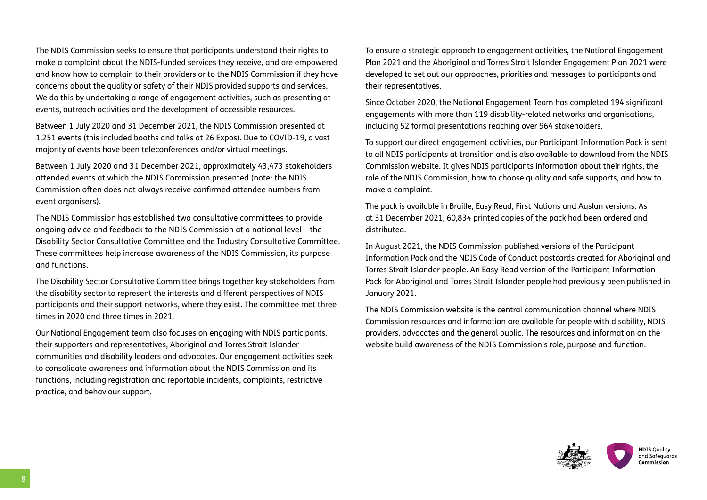The NDIS Commission seeks to ensure that participants understand their rights to make a complaint about the NDIS-funded services they receive, and are empowered and know how to complain to their providers or to the NDIS Commission if they have concerns about the quality or safety of their NDIS provided supports and services. We do this by undertaking a range of engagement activities, such as presenting at events, outreach activities and the development of accessible resources.

Between 1 July 2020 and 31 December 2021, the NDIS Commission presented at 1,251 events (this included booths and talks at 26 Expos). Due to COVID-19, a vast majority of events have been teleconferences and/or virtual meetings.

Between 1 July 2020 and 31 December 2021, approximately 43,473 stakeholders attended events at which the NDIS Commission presented (note: the NDIS Commission often does not always receive confirmed attendee numbers from event organisers).

The NDIS Commission has established two consultative committees to provide ongoing advice and feedback to the NDIS Commission at a national level – the Disability Sector Consultative Committee and the Industry Consultative Committee. These committees help increase awareness of the NDIS Commission, its purpose and functions.

The Disability Sector Consultative Committee brings together key stakeholders from the disability sector to represent the interests and different perspectives of NDIS participants and their support networks, where they exist. The committee met three times in 2020 and three times in 2021.

Our National Engagement team also focuses on engaging with NDIS participants, their supporters and representatives, Aboriginal and Torres Strait Islander communities and disability leaders and advocates. Our engagement activities seek to consolidate awareness and information about the NDIS Commission and its functions, including registration and reportable incidents, complaints, restrictive practice, and behaviour support.

To ensure a strategic approach to engagement activities, the National Engagement Plan 2021 and the Aboriginal and Torres Strait Islander Engagement Plan 2021 were developed to set out our approaches, priorities and messages to participants and their representatives.

Since October 2020, the National Engagement Team has completed 194 significant engagements with more than 119 disability-related networks and organisations, including 52 formal presentations reaching over 964 stakeholders.

To support our direct engagement activities, our Participant Information Pack is sent to all NDIS participants at transition and is also available to download from the NDIS Commission website. It gives NDIS participants information about their rights, the role of the NDIS Commission, how to choose quality and safe supports, and how to make a complaint.

The pack is available in Braille, Easy Read, First Nations and Auslan versions. As at 31 December 2021, 60,834 printed copies of the pack had been ordered and distributed.

In August 2021, the NDIS Commission published versions of the Participant Information Pack and the NDIS Code of Conduct postcards created for Aboriginal and Torres Strait Islander people. An Easy Read version of the Participant Information Pack for Aboriginal and Torres Strait Islander people had previously been published in January 2021.

The NDIS Commission website is the central communication channel where NDIS Commission resources and information are available for people with disability, NDIS providers, advocates and the general public. The resources and information on the website build awareness of the NDIS Commission's role, purpose and function.

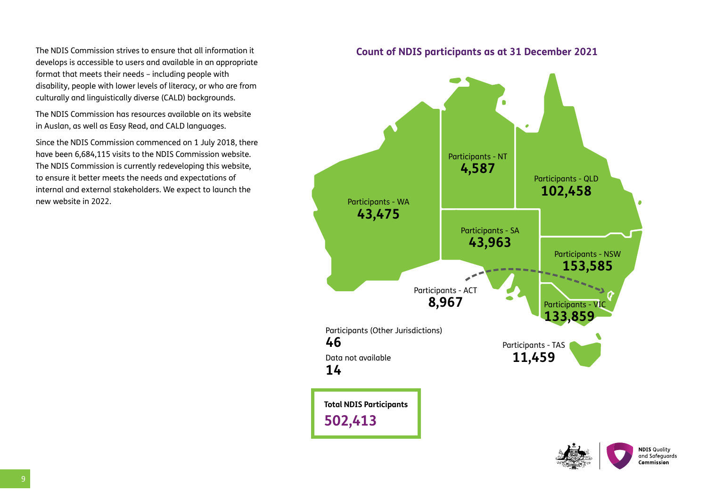The NDIS Commission strives to ensure that all information it develops is accessible to users and available in an appropriate format that meets their needs – including people with disability, people with lower levels of literacy, or who are from culturally and linguistically diverse (CALD) backgrounds.

The NDIS Commission has resources available on its website in Auslan, as well as Easy Read, and CALD languages.

Since the NDIS Commission commenced on 1 July 2018, there have been 6,684,115 visits to the NDIS Commission website. The NDIS Commission is currently redeveloping this website, to ensure it better meets the needs and expectations of internal and external stakeholders. We expect to launch the new website in 2022.

### **Count of NDIS participants as at 31 December 2021**



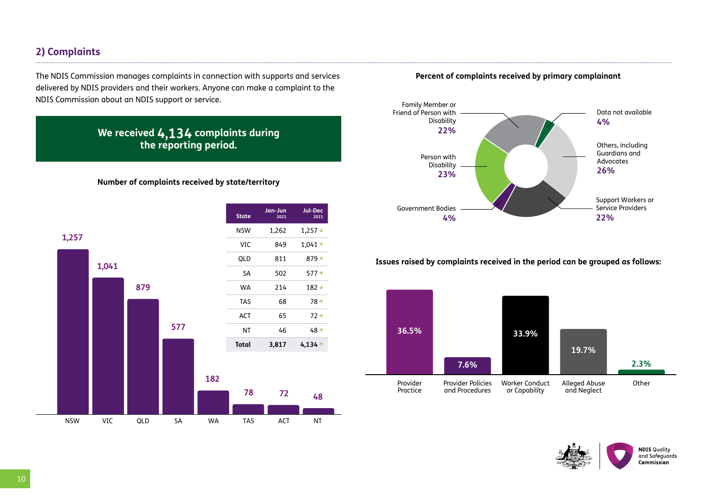# **2) Complaints**

The NDIS Commission manages complaints in connection with supports and services delivered by NDIS providers and their workers. Anyone can make a complaint to the NDIS Commission about an NDIS support or service.

# **We received 4,134 complaints during the reporting period.**

#### **Number of complaints received by state/territory**



**Percent of complaints received by primary complainant**



**Issues raised by complaints received in the period can be grouped as follows:**



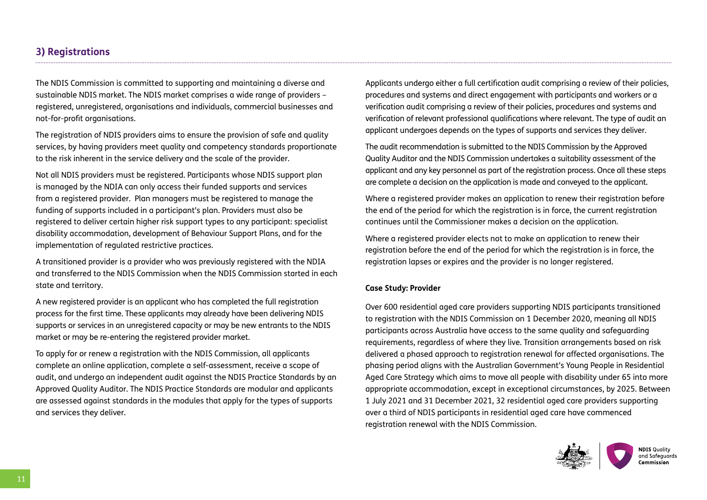# **3) Registrations**

The NDIS Commission is committed to supporting and maintaining a diverse and sustainable NDIS market. The NDIS market comprises a wide range of providers – registered, unregistered, organisations and individuals, commercial businesses and not-for-profit organisations.

The registration of NDIS providers aims to ensure the provision of safe and quality services, by having providers meet quality and competency standards proportionate to the risk inherent in the service delivery and the scale of the provider.

Not all NDIS providers must be registered. Participants whose NDIS support plan is managed by the NDIA can only access their funded supports and services from a registered provider. Plan managers must be registered to manage the funding of supports included in a participant's plan. Providers must also be registered to deliver certain higher risk support types to any participant: specialist disability accommodation, development of Behaviour Support Plans, and for the implementation of regulated restrictive practices.

A transitioned provider is a provider who was previously registered with the NDIA and transferred to the NDIS Commission when the NDIS Commission started in each state and territory.

A new registered provider is an applicant who has completed the full registration process for the first time. These applicants may already have been delivering NDIS supports or services in an unregistered capacity or may be new entrants to the NDIS market or may be re-entering the registered provider market.

To apply for or renew a registration with the NDIS Commission, all applicants complete an online application, complete a self-assessment, receive a scope of audit, and undergo an independent audit against the NDIS Practice Standards by an Approved Quality Auditor. The NDIS Practice Standards are modular and applicants are assessed against standards in the modules that apply for the types of supports and services they deliver.

Applicants undergo either a full certification audit comprising a review of their policies, procedures and systems and direct engagement with participants and workers or a verification audit comprising a review of their policies, procedures and systems and verification of relevant professional qualifications where relevant. The type of audit an applicant undergoes depends on the types of supports and services they deliver.

The audit recommendation is submitted to the NDIS Commission by the Approved Quality Auditor and the NDIS Commission undertakes a suitability assessment of the applicant and any key personnel as part of the registration process. Once all these steps are complete a decision on the application is made and conveyed to the applicant.

Where a registered provider makes an application to renew their registration before the end of the period for which the registration is in force, the current registration continues until the Commissioner makes a decision on the application.

Where a registered provider elects not to make an application to renew their registration before the end of the period for which the registration is in force, the registration lapses or expires and the provider is no longer registered.

#### **Case Study: Provider**

Over 600 residential aged care providers supporting NDIS participants transitioned to registration with the NDIS Commission on 1 December 2020, meaning all NDIS participants across Australia have access to the same quality and safeguarding requirements, regardless of where they live. Transition arrangements based on risk delivered a phased approach to registration renewal for affected organisations. The phasing period aligns with the Australian Government's Young People in Residential Aged Care Strategy which aims to move all people with disability under 65 into more appropriate accommodation, except in exceptional circumstances, by 2025. Between 1 July 2021 and 31 December 2021, 32 residential aged care providers supporting over a third of NDIS participants in residential aged care have commenced registration renewal with the NDIS Commission.

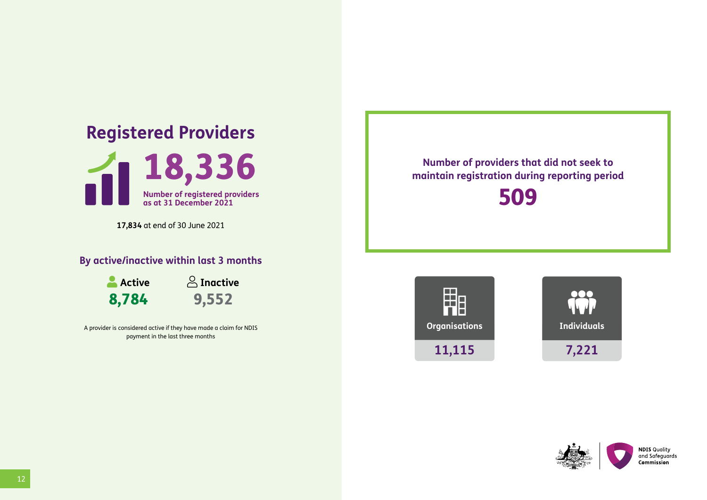# **Registered Providers**



**17,834** at end of 30 June 2021

# **By active/inactive within last 3 months**

**Active** 8,784



A provider is considered active if they have made a claim for NDIS payment in the last three months

**Number of providers that did not seek to maintain registration during reporting period**

509





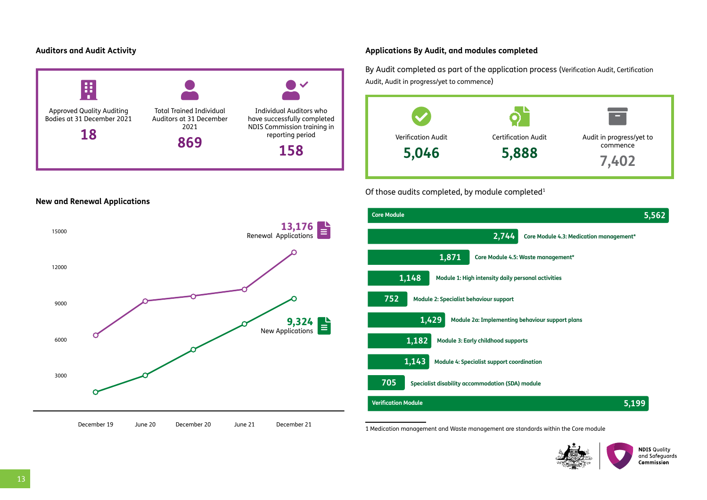#### **Auditors and Audit Activity**



#### **Applications By Audit, and modules completed**

By Audit completed as part of the application process (Verification Audit, Certification Audit, Audit in progress/yet to commence)



#### Of those audits completed, by module completed<sup>1</sup>





1 Medication management and Waste management are standards within the Core module



**NDIS Quality** and Safeguards Commission

**New and Renewal Applications**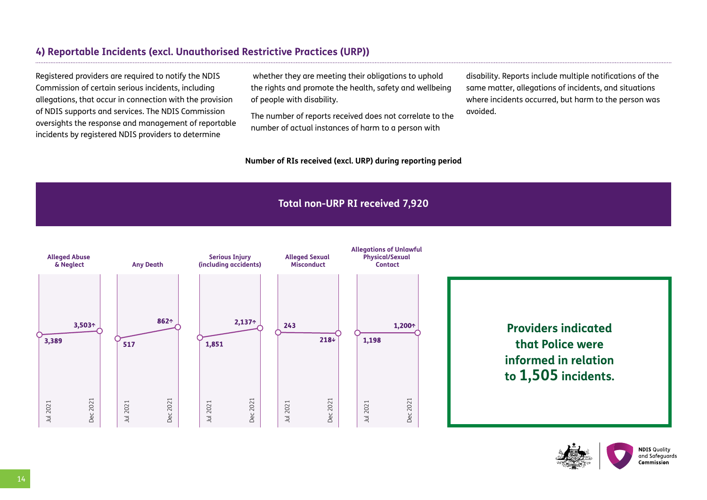# **4) Reportable Incidents (excl. Unauthorised Restrictive Practices (URP))**

Registered providers are required to notify the NDIS Commission of certain serious incidents, including allegations, that occur in connection with the provision of NDIS supports and services. The NDIS Commission oversights the response and management of reportable incidents by registered NDIS providers to determine

 whether they are meeting their obligations to uphold the rights and promote the health, safety and wellbeing of people with disability.

The number of reports received does not correlate to the number of actual instances of harm to a person with

#### **Number of RIs received (excl. URP) during reporting period**

disability. Reports include multiple notifications of the same matter, allegations of incidents, and situations where incidents occurred, but harm to the person was avoided.

# **Total non-URP RI received 7,920**



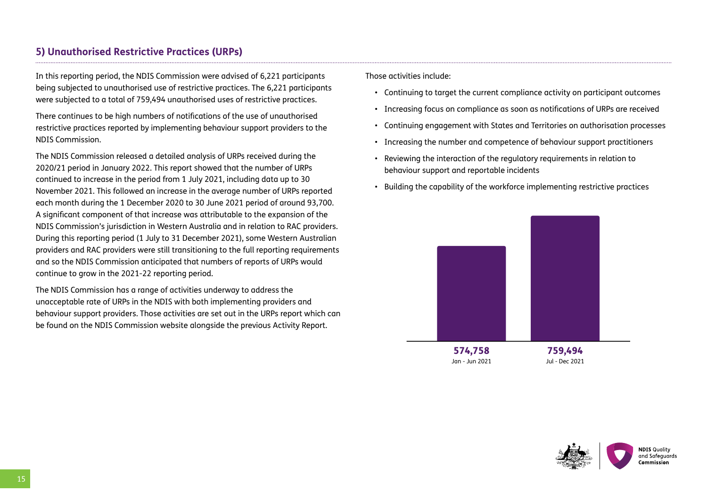# **5) Unauthorised Restrictive Practices (URPs)**

In this reporting period, the NDIS Commission were advised of 6,221 participants being subjected to unauthorised use of restrictive practices. The 6,221 participants were subjected to a total of 759,494 unauthorised uses of restrictive practices.

There continues to be high numbers of notifications of the use of unauthorised restrictive practices reported by implementing behaviour support providers to the NDIS Commission.

The NDIS Commission released a detailed analysis of URPs received during the 2020/21 period in January 2022. This report showed that the number of URPs continued to increase in the period from 1 July 2021, including data up to 30 November 2021. This followed an increase in the average number of URPs reported each month during the 1 December 2020 to 30 June 2021 period of around 93,700. A significant component of that increase was attributable to the expansion of the NDIS Commission's jurisdiction in Western Australia and in relation to RAC providers. During this reporting period (1 July to 31 December 2021), some Western Australian providers and RAC providers were still transitioning to the full reporting requirements and so the NDIS Commission anticipated that numbers of reports of URPs would continue to grow in the 2021-22 reporting period.

The NDIS Commission has a range of activities underway to address the unacceptable rate of URPs in the NDIS with both implementing providers and behaviour support providers. Those activities are set out in the URPs report which can be found on the NDIS Commission website alongside the previous Activity Report.

Those activities include:

- Continuing to target the current compliance activity on participant outcomes
- Increasing focus on compliance as soon as notifications of URPs are received
- Continuing engagement with States and Territories on authorisation processes
- Increasing the number and competence of behaviour support practitioners
- Reviewing the interaction of the regulatory requirements in relation to behaviour support and reportable incidents
- Building the capability of the workforce implementing restrictive practices





15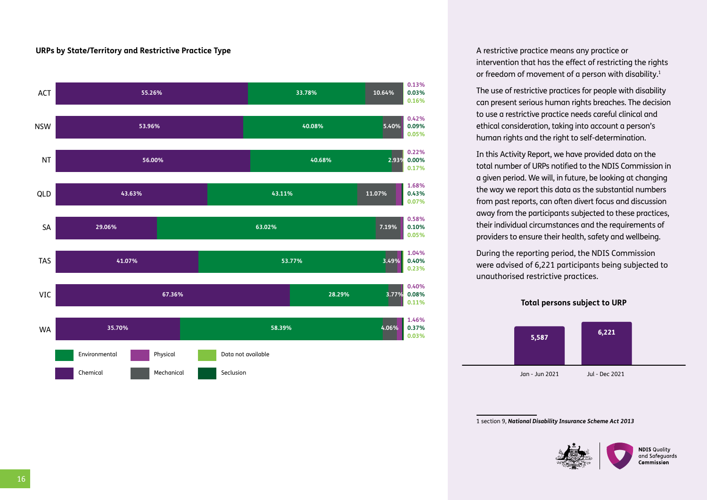#### **URPs by State/Territory and Restrictive Practice Type**



A restrictive practice means any practice or intervention that has the effect of restricting the rights or freedom of movement of a person with disability.<sup>1</sup>

The use of restrictive practices for people with disability can present serious human rights breaches. The decision to use a restrictive practice needs careful clinical and ethical consideration, taking into account a person's human rights and the right to self-determination.

In this Activity Report, we have provided data on the total number of URPs notified to the NDIS Commission in a given period. We will, in future, be looking at changing the way we report this data as the substantial numbers from past reports, can often divert focus and discussion away from the participants subjected to these practices, their individual circumstances and the requirements of providers to ensure their health, safety and wellbeing.

During the reporting period, the NDIS Commission were advised of 6,221 participants being subjected to unauthorised restrictive practices.

**Total persons subject to URP**



1 section 9, *National Disability Insurance Scheme Act 2013*

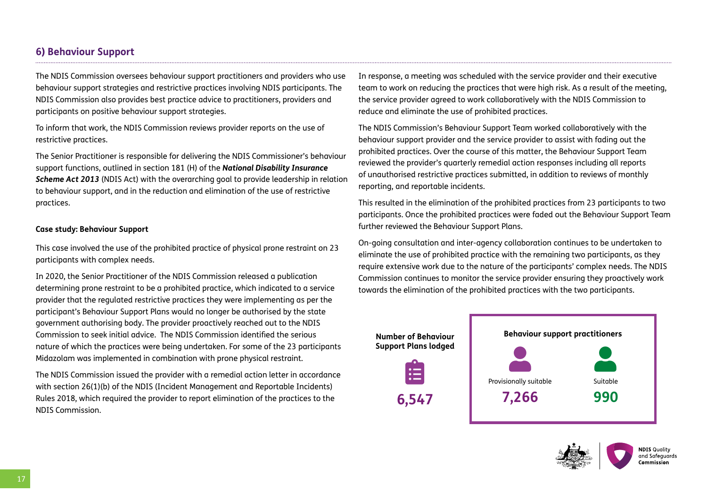# **6) Behaviour Support**

The NDIS Commission oversees behaviour support practitioners and providers who use behaviour support strategies and restrictive practices involving NDIS participants. The NDIS Commission also provides best practice advice to practitioners, providers and participants on positive behaviour support strategies.

To inform that work, the NDIS Commission reviews provider reports on the use of restrictive practices.

The Senior Practitioner is responsible for delivering the NDIS Commissioner's behaviour support functions, outlined in section 181 (H) of the *National Disability Insurance Scheme Act 2013* (NDIS Act) with the overarching goal to provide leadership in relation to behaviour support, and in the reduction and elimination of the use of restrictive practices.

#### **Case study: Behaviour Support**

This case involved the use of the prohibited practice of physical prone restraint on 23 participants with complex needs.

In 2020, the Senior Practitioner of the NDIS Commission released a publication determining prone restraint to be a prohibited practice, which indicated to a service provider that the regulated restrictive practices they were implementing as per the participant's Behaviour Support Plans would no longer be authorised by the state government authorising body. The provider proactively reached out to the NDIS Commission to seek initial advice. The NDIS Commission identified the serious nature of which the practices were being undertaken. For some of the 23 participants Midazolam was implemented in combination with prone physical restraint.

The NDIS Commission issued the provider with a remedial action letter in accordance with section 26(1)(b) of the NDIS (Incident Management and Reportable Incidents) Rules 2018, which required the provider to report elimination of the practices to the NDIS Commission.

In response, a meeting was scheduled with the service provider and their executive team to work on reducing the practices that were high risk. As a result of the meeting, the service provider agreed to work collaboratively with the NDIS Commission to reduce and eliminate the use of prohibited practices.

The NDIS Commission's Behaviour Support Team worked collaboratively with the behaviour support provider and the service provider to assist with fading out the prohibited practices. Over the course of this matter, the Behaviour Support Team reviewed the provider's quarterly remedial action responses including all reports of unauthorised restrictive practices submitted, in addition to reviews of monthly reporting, and reportable incidents.

This resulted in the elimination of the prohibited practices from 23 participants to two participants. Once the prohibited practices were faded out the Behaviour Support Team further reviewed the Behaviour Support Plans.

On-going consultation and inter-agency collaboration continues to be undertaken to eliminate the use of prohibited practice with the remaining two participants, as they require extensive work due to the nature of the participants' complex needs. The NDIS Commission continues to monitor the service provider ensuring they proactively work towards the elimination of the prohibited practices with the two participants.



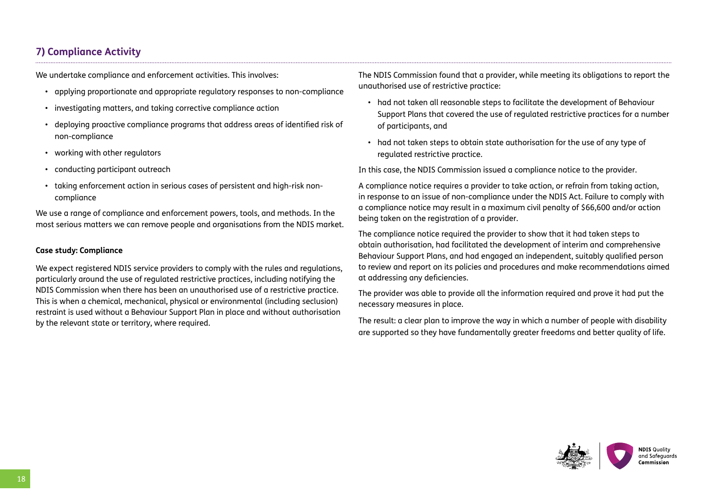# **7) Compliance Activity**

We undertake compliance and enforcement activities. This involves:

- applying proportionate and appropriate regulatory responses to non-compliance
- investigating matters, and taking corrective compliance action
- deploying proactive compliance programs that address areas of identified risk of non-compliance
- working with other regulators
- conducting participant outreach
- taking enforcement action in serious cases of persistent and high-risk noncompliance

We use a range of compliance and enforcement powers, tools, and methods. In the most serious matters we can remove people and organisations from the NDIS market.

#### **Case study: Compliance**

We expect registered NDIS service providers to comply with the rules and regulations, particularly around the use of regulated restrictive practices, including notifying the NDIS Commission when there has been an unauthorised use of a restrictive practice. This is when a chemical, mechanical, physical or environmental (including seclusion) restraint is used without a Behaviour Support Plan in place and without authorisation by the relevant state or territory, where required.

The NDIS Commission found that a provider, while meeting its obligations to report the unauthorised use of restrictive practice:

- had not taken all reasonable steps to facilitate the development of Behaviour Support Plans that covered the use of regulated restrictive practices for a number of participants, and
- had not taken steps to obtain state authorisation for the use of any type of regulated restrictive practice.

In this case, the NDIS Commission issued a compliance notice to the provider.

A compliance notice requires a provider to take action, or refrain from taking action, in response to an issue of non-compliance under the NDIS Act. Failure to comply with a compliance notice may result in a maximum civil penalty of \$66,600 and/or action being taken on the registration of a provider.

The compliance notice required the provider to show that it had taken steps to obtain authorisation, had facilitated the development of interim and comprehensive Behaviour Support Plans, and had engaged an independent, suitably qualified person to review and report on its policies and procedures and make recommendations aimed at addressing any deficiencies.

The provider was able to provide all the information required and prove it had put the necessary measures in place.

The result: a clear plan to improve the way in which a number of people with disability are supported so they have fundamentally greater freedoms and better quality of life.

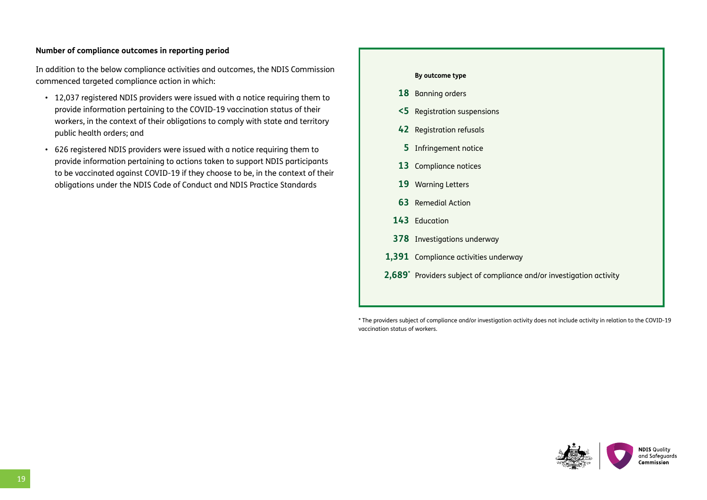#### **Number of compliance outcomes in reporting period**

In addition to the below compliance activities and outcomes, the NDIS Commission commenced targeted compliance action in which:

- 12,037 registered NDIS providers were issued with a notice requiring them to provide information pertaining to the COVID-19 vaccination status of their workers, in the context of their obligations to comply with state and territory public health orders; and
- 626 registered NDIS providers were issued with a notice requiring them to provide information pertaining to actions taken to support NDIS participants to be vaccinated against COVID-19 if they choose to be, in the context of their obligations under the NDIS Code of Conduct and NDIS Practice Standards

# **By outcome type 18** Banning orders **<5** Registration suspensions **42** Registration refusals **5** Infringement notice **13** Compliance notices **19** Warning Letters **63** Remedial Action **143** Education **378** Investigations underway **1,391** Compliance activities underway **2,689\*** Providers subject of compliance and/or investigation activity

\* The providers subject of compliance and/or investigation activity does not include activity in relation to the COVID-19 vaccination status of workers.

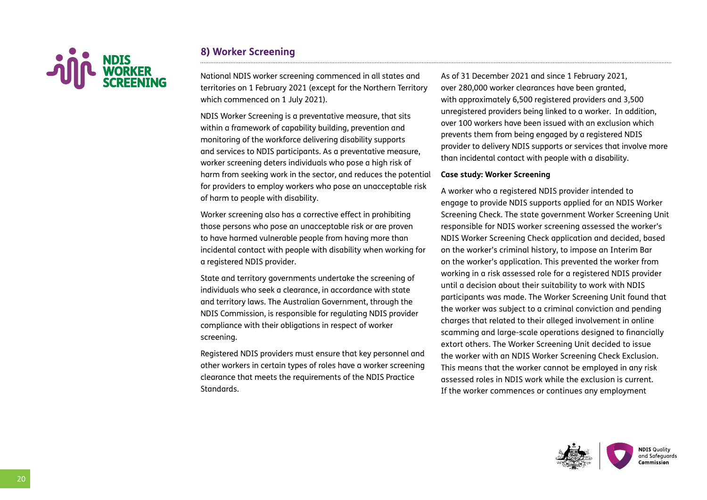

# **8) Worker Screening**

National NDIS worker screening commenced in all states and territories on 1 February 2021 (except for the Northern Territory which commenced on 1 July 2021).

NDIS Worker Screening is a preventative measure, that sits within a framework of capability building, prevention and monitoring of the workforce delivering disability supports and services to NDIS participants. As a preventative measure, worker screening deters individuals who pose a high risk of harm from seeking work in the sector, and reduces the potential for providers to employ workers who pose an unacceptable risk of harm to people with disability.

Worker screening also has a corrective effect in prohibiting those persons who pose an unacceptable risk or are proven to have harmed vulnerable people from having more than incidental contact with people with disability when working for a registered NDIS provider.

State and territory governments undertake the screening of individuals who seek a clearance, in accordance with state and territory laws. The Australian Government, through the NDIS Commission, is responsible for regulating NDIS provider compliance with their obligations in respect of worker screening.

Registered NDIS providers must ensure that key personnel and other workers in certain types of roles have a worker screening clearance that meets the requirements of the NDIS Practice Standards.

As of 31 December 2021 and since 1 February 2021, over 280,000 worker clearances have been granted, with approximately 6,500 registered providers and 3,500 unregistered providers being linked to a worker. In addition, over 100 workers have been issued with an exclusion which prevents them from being engaged by a registered NDIS provider to delivery NDIS supports or services that involve more than incidental contact with people with a disability.

#### **Case study: Worker Screening**

A worker who a registered NDIS provider intended to engage to provide NDIS supports applied for an NDIS Worker Screening Check. The state government Worker Screening Unit responsible for NDIS worker screening assessed the worker's NDIS Worker Screening Check application and decided, based on the worker's criminal history, to impose an Interim Bar on the worker's application. This prevented the worker from working in a risk assessed role for a registered NDIS provider until a decision about their suitability to work with NDIS participants was made. The Worker Screening Unit found that the worker was subject to a criminal conviction and pending charges that related to their alleged involvement in online scamming and large-scale operations designed to financially extort others. The Worker Screening Unit decided to issue the worker with an NDIS Worker Screening Check Exclusion. This means that the worker cannot be employed in any risk assessed roles in NDIS work while the exclusion is current. If the worker commences or continues any employment

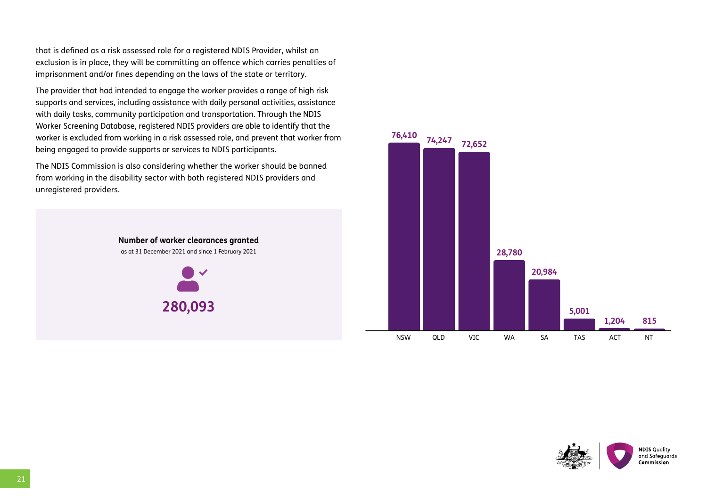that is defined as a risk assessed role for a registered NDIS Provider, whilst an exclusion is in place, they will be committing an offence which carries penalties of imprisonment and/or fines depending on the laws of the state or territory.

The provider that had intended to engage the worker provides a range of high risk supports and services, including assistance with daily personal activities, assistance with daily tasks, community participation and transportation. Through the NDIS Worker Screening Database, registered NDIS providers are able to identify that the worker is excluded from working in a risk assessed role, and prevent that worker from being engaged to provide supports or services to NDIS participants.

The NDIS Commission is also considering whether the worker should be banned from working in the disability sector with both registered NDIS providers and unregistered providers.







21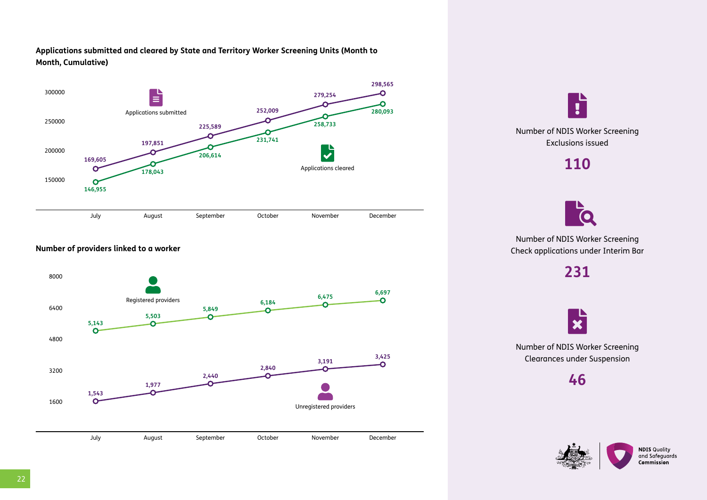#### **Applications submitted and cleared by State and Territory Worker Screening Units (Month to Month, Cumulative)**



#### **Number of providers linked to a worker**







Number of NDIS Worker Screening Check applications under Interim Bar

**231**

 $\boldsymbol{\varkappa}$ 

Number of NDIS Worker Screening Clearances under Suspension

**46**

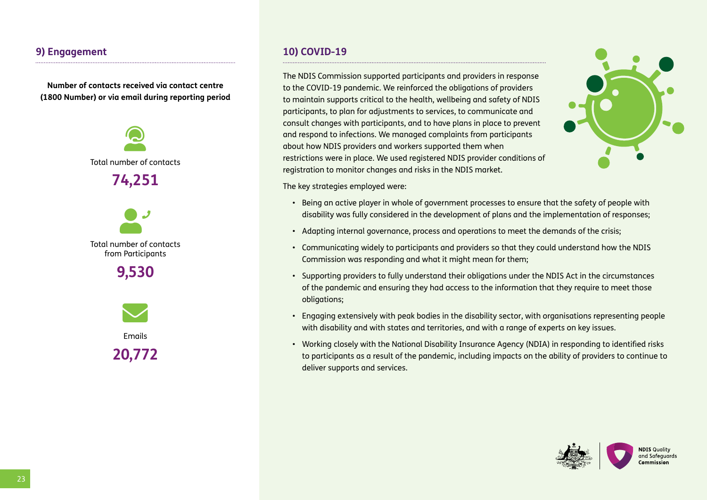# **9) Engagement**

**Number of contacts received via contact centre (1800 Number) or via email during reporting period**



**10) COVID-19**

The NDIS Commission supported participants and providers in response to the COVID-19 pandemic. We reinforced the obligations of providers to maintain supports critical to the health, wellbeing and safety of NDIS participants, to plan for adjustments to services, to communicate and consult changes with participants, and to have plans in place to prevent and respond to infections. We managed complaints from participants about how NDIS providers and workers supported them when restrictions were in place. We used registered NDIS provider conditions of registration to monitor changes and risks in the NDIS market.



The key strategies employed were:

- Being an active player in whole of government processes to ensure that the safety of people with disability was fully considered in the development of plans and the implementation of responses;
- Adapting internal governance, process and operations to meet the demands of the crisis;
- Communicating widely to participants and providers so that they could understand how the NDIS Commission was responding and what it might mean for them;
- Supporting providers to fully understand their obligations under the NDIS Act in the circumstances of the pandemic and ensuring they had access to the information that they require to meet those obligations;
- Engaging extensively with peak bodies in the disability sector, with organisations representing people with disability and with states and territories, and with a range of experts on key issues.
- Working closely with the National Disability Insurance Agency (NDIA) in responding to identified risks to participants as a result of the pandemic, including impacts on the ability of providers to continue to deliver supports and services.

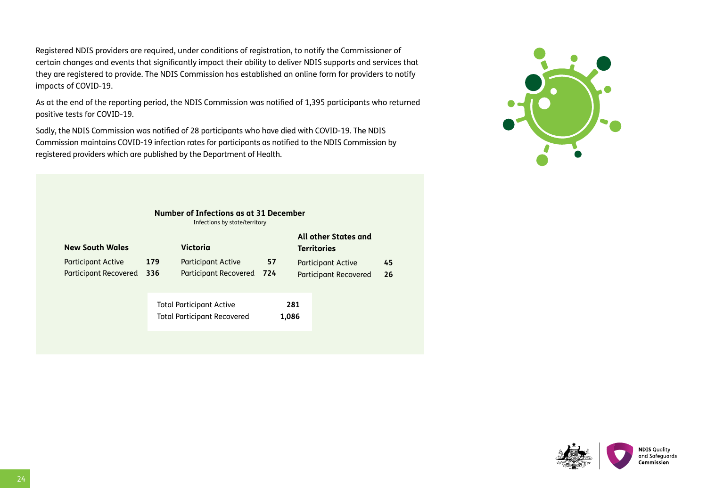Registered NDIS providers are required, under conditions of registration, to notify the Commissioner of certain changes and events that significantly impact their ability to deliver NDIS supports and services that they are registered to provide. The NDIS Commission has established an online form for providers to notify impacts of COVID-19.

As at the end of the reporting period, the NDIS Commission was notified of 1,395 participants who returned positive tests for COVID-19.

Sadly, the NDIS Commission was notified of 28 participants who have died with COVID-19. The NDIS Commission maintains COVID-19 infection rates for participants as notified to the NDIS Commission by registered providers which are published by the Department of Health.

| Number of Infections as at 31 December |
|----------------------------------------|
| Infections by state/territory          |

| <b>New South Wales</b>                             |             | Victoria                                                              |                                                                                         |  | All other States and<br><b>Territories</b> |  |
|----------------------------------------------------|-------------|-----------------------------------------------------------------------|-----------------------------------------------------------------------------------------|--|--------------------------------------------|--|
| <b>Participant Active</b><br>Participant Recovered | 179<br>-336 | <b>Participant Active</b><br><b>Participant Recovered</b>             | 57<br><b>Participant Active</b><br>-724<br><b>Participant Recovered</b><br>281<br>1,086 |  | 45<br>-26                                  |  |
|                                                    |             | <b>Total Participant Active</b><br><b>Total Participant Recovered</b> |                                                                                         |  |                                            |  |



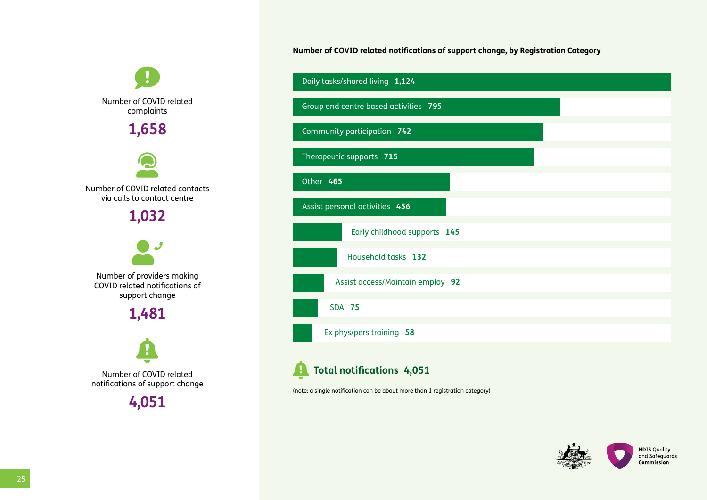$\mathbf \theta$ Number of COVID related complaints **1,658** user-headset Number of COVID related contacts via calls to contact centre **1,032** <u>ey</u> Number of providers making COVID related notifications of support change **1,481**   $\hat{\mathbf{e}}$ Number of COVID related notifications of support change

**4,051** 

**Number of COVID related notifications of support change, by Registration Category**



**f** Total notifications 4,051

(note: a single notification can be about more than 1 registration category)